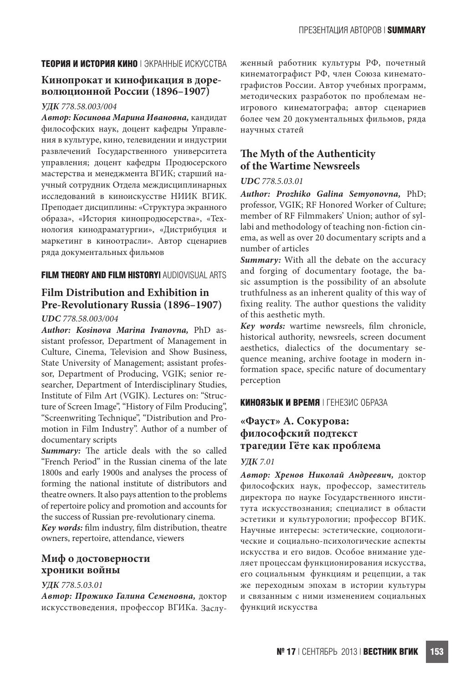### **ТЕОРИЯ И ИСТОРИЯ КИНО** | ЭКРАННЫЕ ИСКУССТВА

# **Кинопрокат и кинофикация в доре- волюционной России (1896–1907)**

### *УДК 778.58.003/004*

*Автор: Косинова Марина Ивановна,* кандидат философских наук, доцент кафедры Управления в культуре, кино, телевидении и индустрии развлечений Государственного университета управления; доцент кафедры Продюсерского мастерства и менеджмента ВГИК; старший научный сотрудник Отдела междисциплинарных исследований в киноискусстве НИИК ВГИК. Преподает дисциплины: «Структура экранного образа», «История кинопродюсерства», «Технология кинодраматургии», «Дистрибуция и маркетинг в киноотрасли». Автор сценариев ряда документальных фильмов

### **FILM THEORY AND FILM HISTORY|** AUDIOVISUAL ARTS

# **Film Distribution and Exhibition in Pre-Revolutionary Russia (1896–1907)**

#### *UDC 778.58.003/004*

*Author: Kosinova Marina Ivanovna,* PhD assistant professor, Department of Management in Culture, Cinema, Television and Show Business, State University of Management; assistant professor, Department of Producing, VGIK; senior researcher, Department of Interdisciplinary Studies, Institute of Film Art (VGIK). Lectures on: "Structure of Screen Image", "History of Film Producing", "Screenwriting Technique", "Distribution and Promotion in Film Industry". Author of a number of documentary scripts

**Summary:** The article deals with the so called "French Period" in the Russian cinema of the late 1800s and early 1900s and analyses the process of forming the national institute of distributors and theatre owners. It also pays attention to the problems of repertoire policy and promotion and accounts for the success of Russian pre-revolutionary cinema.

*Key words:* film industry, film distribution, theatre owners, repertoire, attendance, viewers

# **Миф о достоверности хроники войны**

#### *УДК 778.5.03.01*

*Автор: Прожико Галина Семеновна,* доктор искусствоведения, профессор ВГИКа. Заслуженный работник культуры РФ, почетный кинематографист РФ, член Союза кинематографистов России. Автор учебных программ, методических разработок по проблемам неигрового кинематографа; автор сценариев более чем 20 документальных фильмов, ряда научных статей

# **The Myth of the Authenticity of the Wartime Newsreels**

### *UDC 778.5.03.01*

*Author: Prozhiko Galina Semyonovna,* PhD; professor, VGIK; RF Honored Worker of Culture; member of RF Filmmakers' Union; author of syllabi and methodology of teaching non-fiction cinema, as well as over 20 documentary scripts and a number of articles

*Summary:* With all the debate on the accuracy and forging of documentary footage, the basic assumption is the possibility of an absolute truthfulness as an inherent quality of this way of fixing reality. The author questions the validity of this aesthetic myth.

*Key words:* wartime newsreels, film chronicle, historical authority, newsreels, screen document aesthetics, dialectics of the documentary sequence meaning, archive footage in modern information space, specific nature of documentary perception

### **КИНОЯЗЫК И ВРЕМЯ** | ГЕНЕЗИС ОБРАЗА

# **«Фауст» А. Сокурова: философский подтекст трагедии Гёте как проблема**

#### *УДК 7.01*

*Автор: Хренов Николай Андреевич,* доктор философских наук, профессор, заместитель директора по науке Государственного института искусствознания; специалист в области эстетики и культурологии; профессор ВГИК. Научные интересы: эстетические, социологические и социально-психологические аспекты искусства и его видов. Особое внимание уделяет процессам функционирования искусства, его социальным функциям и рецепции, а так же переходным эпохам в истории культуры и связанным с ними изменением социальных функций искусства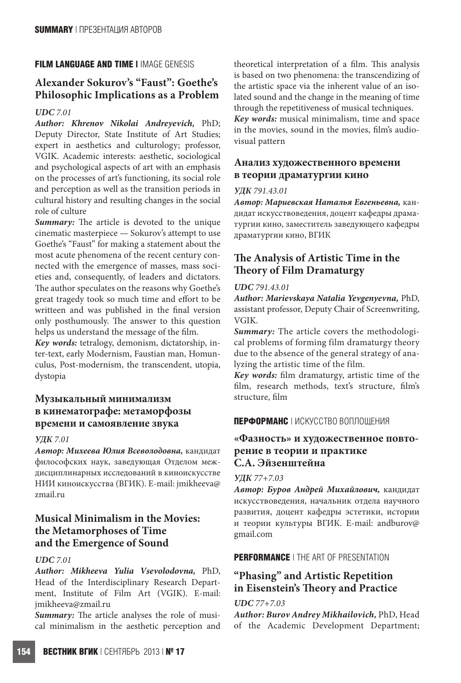### **FILM LANGUAGE AND TIME |** IMAGE GENESIS

# **Alexander Sokurov's "Faust": Goethe's Philosophic Implications as a Problem**

### *UDC 7.01*

*Author: Khrenov Nikolai Andreyevich,* PhD; Deputy Director, State Institute of Art Studies; expert in aesthetics and culturology; professor, VGIK. Academic interests: aesthetic, sociological and psychological aspects of art with an emphasis on the processes of art's functioning, its social role and perception as well as the transition periods in cultural history and resulting changes in the social role of culture

*Summary:* The article is devoted to the unique cinematic masterpiece — Sokurov's attempt to use Goethe's "Faust" for making a statement about the most acute phenomena of the recent century connected with the emergence of masses, mass societies and, consequently, of leaders and dictators. The author speculates on the reasons why Goethe's great tragedy took so much time and effort to be writteen and was published in the final version only posthumously. The answer to this question helps us understand the message of the film.

*Key words:* tetralogy, demonism, dictatorship, inter-text, early Modernism, Faustian man, Homunculus, Post-modernism, the transcendent, utopia, dystopia

# **Музыкальный минимализм в кинематографе: метаморфозы времени и самоявление звука**

### *УДК 7.01*

*Автор: Михеева Юлия Всеволодовна,* кандидат философских наук, заведующая Отделом междисциплинарных исследований в киноискусстве НИИ киноискусства (ВГИК). E-mail: jmikheeva@ zmail.ru

# **Musical Minimalism in the Movies: the Metamorphoses of Time and the Emergence of Sound**

### *UDC 7.01*

*Author: Mikheeva Yulia Vsevolodovna,* PhD, Head of the Interdisciplinary Research Department, Institute of Film Art (VGIK). E-mail: jmikheeva@zmail.ru

*Summary:* The article analyses the role of musical minimalism in the aesthetic perception and theoretical interpretation of a film. This analysis is based on two phenomena: the transcendizing of the artistic space via the inherent value of an isolated sound and the change in the meaning of time through the repetitiveness of musical techniques.

*Key words:* musical minimalism, time and space in the movies, sound in the movies, film's audiovisual pattern

# **Анализ художественного времени в теории драматургии кино**

#### *УДК 791.43.01*

*Автор: Мариевская Наталья Евгеньевна,* кандидат искусствоведения, доцент кафедры драматургии кино, заместитель заведующего кафедры драматургии кино, ВГИК

# **The Analysis of Artistic Time in the Theory of Film Dramaturgy**

### *UDC 791.43.01*

*Author: Marievskaya Natalia Yevgenyevna,* PhD, assistant professor, Deputy Chair of Screenwriting, VGIK.

*Summary:* The article covers the methodological problems of forming film dramaturgy theory due to the absence of the general strategy of analyzing the artistic time of the film.

*Key words:* film dramaturgy, artistic time of the film, research methods, text's structure, film's structure, film

### **ПЕРФОРМАНС** | ИСКУССТВО ВОПЛОЩЕНИЯ

# **«Фазность» и художественное повторение в теории и практике С.А. Эйзенштейна**

### *УДК 77+7.03*

*Автор: Буров Андрей Михайлович,* кандидат искусствоведения, начальник отдела научного развития, доцент кафедры эстетики, истории и теории культуры ВГИК. E-mail: andburov@ gmail.com

### **PERFORMANCE** | THE ART OF PRESENTATION

# **"Phasing" and Artistic Repetition in Eisenstein's Theory and Practice**

### *UDC 77+7.03*

*Author: Burov Andrey Mikhailovich,* PhD, Head of the Academic Development Department;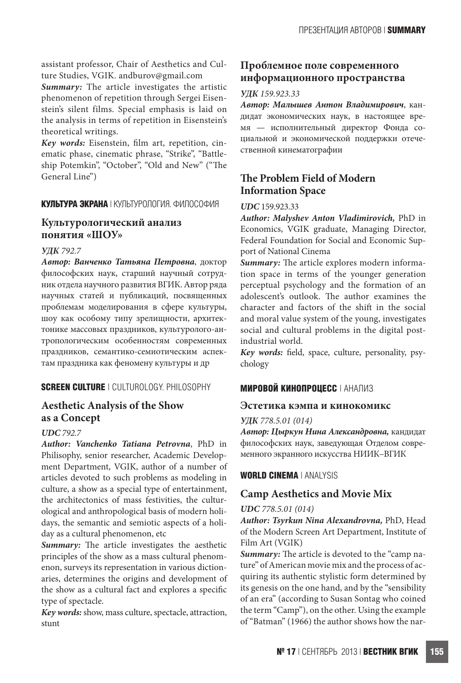assistant professor, Chair of Aesthetics and Culture Studies, VGIK. andburov@gmail.com

*Summary:* The article investigates the artistic phenomenon of repetition through Sergei Eisenstein's silent films. Special emphasis is laid on the analysis in terms of repetition in Eisenstein's theoretical writings.

*Key words:* Eisenstein, film art, repetition, cinematic phase, cinematic phrase, "Strike", "Battleship Potemkin", "October", "Old and New" ("The General Line")

### **КУЛЬТУРА ЭКРАНА** | КУЛЬТУРОЛОГИЯ. ФИЛОСОФИЯ

# **Культурологический анализ понятия «ШОУ»**

### *УДК 792.7*

*Автор: Ванченко Татьяна Петровна*, доктор философских наук, старший научный сотрудник отдела научного развития ВГИК. Автор ряда научных статей и публикаций, посвященных проблемам моделирования в сфере культуры, шоу как особому типу зрелищности, архитектонике массовых праздников, культуролого-антропологическим особенностям современных праздников, семантико-семиотическим аспектам праздника как феномену культуры и др

### **SCREEN CULTURE** | CULTUROLOGY. PHILOSOPHY

# **Aesthetic Analysis of the Show as a Concept**

### *UDC 792.7*

*Author: Vanchenko Tatiana Petrovna*, PhD in Philisophy, senior researcher, Academic Development Department, VGIK, author of a number of articles devoted to such problems as modeling in culture, a show as a special type of entertainment, the architectonics of mass festivities, the culturological and anthropological basis of modern holidays, the semantic and semiotic aspects of a holiday as a cultural phenomenon, etc

*Summary:* The article investigates the aesthetic principles of the show as a mass cultural phenomenon, surveys its representation in various dictionaries, determines the origins and development of the show as a cultural fact and explores a specific type of spectacle.

*Key words:* show, mass culture, spectacle, attraction, stunt

# **Проблемное поле современного информационного пространства**

### *УДК 159.923.33*

*Автор: Малышев Антон Владимирович*, кандидат экономических наук, в настоящее время — исполнительный директор Фонда социальной и экономической поддержки отечественной кинематографии

# **The Problem Field of Modern Information Space**

#### *UDC* 159.923.33

*Author: Malyshev Anton Vladimirovich,* PhD in Economics, VGIK graduate, Managing Director, Federal Foundation for Social and Economic Support of National Cinema

*Summary:* The article explores modern information space in terms of the younger generation perceptual psychology and the formation of an adolescent's outlook. The author examines the character and factors of the shift in the social and moral value system of the young, investigates social and cultural problems in the digital postindustrial world.

*Key words:* field, space, culture, personality, psychology

### **МИРОВОЙ КИНОПРОЦЕСС** | АНАЛИЗ

### **Эстетика кэмпа и кинокомикс**

### *УДК 778.5.01 (014)*

*Автор: Цыркун Нина Александровна,* кандидат философских наук, заведующая Отделом современного экранного искусства НИИК–ВГИК

### **WORLD CINEMA** | ANALYSIS

### **Camp Aesthetics and Movie Mix**

### *UDC 778.5.01 (014)*

*Author: Tsyrkun Nina Alexandrovna,* PhD, Head of the Modern Screen Art Department, Institute of Film Art (VGIK)

*Summary:* The article is devoted to the "camp nature" of American movie mix and the process of acquiring its authentic stylistic form determined by its genesis on the one hand, and by the "sensibility of an era" (according to Susan Sontag who coined the term "Camp"), on the other. Using the example of "Batman" (1966) the author shows how the nar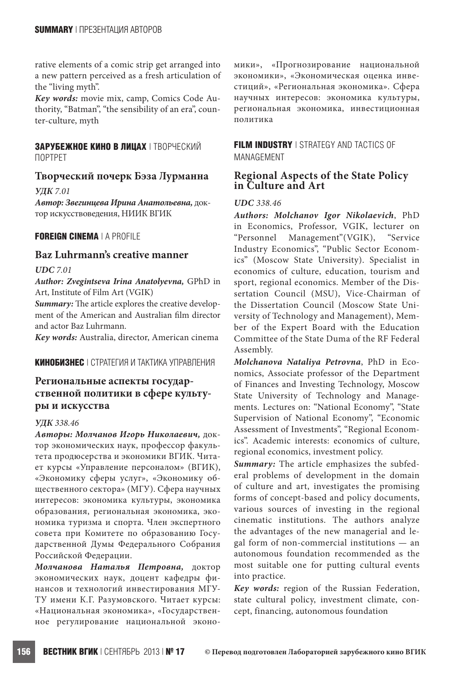rative elements of a comic strip get arranged into a new pattern perceived as a fresh articulation of the "living myth".

*Key words:* movie mix, camp, Comics Code Authority, "Batman", "the sensibility of an era", counter-culture, myth

### **ЗАРУБЕЖНОЕ КИНО В ЛИЦАХ** | ТВОРЧЕСКИЙ ПОРТРЕТ

# **Творческий почерк Бэза Лурманна**

*УДК 7.01*

*Автор: Звегинцева Ирина Анатольевна,* доктор искусствоведения, НИИК ВГИК

### **FOREIGN CINEMA** | A PROFILE

### **Baz Luhrmann's creative manner**

#### *UDC 7.01*

*Author: Zvegintseva Irina Anatolyevna,* GPhD in Art, Institute of Film Art (VGIK)

**Summary:** The article explores the creative development of the American and Australian film director and actor Baz Luhrmann.

*Key words:* Australia, director, American cinema

### **КИНОБИЗНЕС** | СТРАТЕГИЯ И ТАКТИКА УПРАВЛЕНИЯ

# **Региональные аспекты государственной политики в сфере культуры и искусства**

### *УДК 338.46*

*Авторы: Молчанов Игорь Николаевич,* доктор экономических наук, профессор факультета продюсерства и экономики ВГИК. Читает курсы «Управление персоналом» (ВГИК), «Экономику сферы услуг», «Экономику общественного сектора» (МГУ). Сфера научных интересов: экономика культуры, экономика образования, региональная экономика, экономика туризма и спорта. Член экспертного совета при Комитете по образованию Государственной Думы Федерального Собрания Российской Федерации.

*Молчанова Наталья Петровна,* доктор экономических наук, доцент кафедры финансов и технологий инвестирования МГУ-ТУ имени К.Г. Разумовского. Читает курсы: «Национальная экономика», «Государственное регулирование национальной экономики», «Прогнозирование национальной экономики», «Экономическая оценка инвестиций», «Региональная экономика». Сфера научных интересов: экономика культуры, региональная экономика, инвестиционная политика

**FILM INDUSTRY** | STRATEGY AND TACTICS OF MANAGEMENT

# **Regional Aspects of the State Policy in Culture and Art**

#### *UDC 338.46*

*Authors: Molchanov Igor Nikolaevich*, PhD in Economics, Professor, VGIK, lecturer on "Personnel Management"(VGIK), "Service Industry Economics", "Public Sector Economics" (Moscow State University). Specialist in economics of culture, education, tourism and sport, regional economics. Member of the Dissertation Council (MSU), Vice-Chairman of the Dissertation Council (Moscow State University of Technology and Management), Member of the Expert Board with the Education Committee of the State Duma of the RF Federal Assembly.

*Molchanova Nataliya Petrovna*, PhD in Economics, Associate professor of the Department of Finances and Investing Technology, Moscow State University of Technology and Managements. Lectures on: "National Economy", "State Supervision of National Economy", "Economic Assessment of Investments", "Regional Economics". Academic interests: economics of culture, regional economics, investment policy.

*Summary:* The article emphasizes the subfederal problems of development in the domain of culture and art, investigates the promising forms of concept-based and policy documents, various sources of investing in the regional cinematic institutions. The authors analyze the advantages of the new managerial and legal form of non-commercial institutions — an autonomous foundation recommended as the most suitable one for putting cultural events into practice.

*Key words:* region of the Russian Federation, state cultural policy, investment climate, concept, financing, autonomous foundation